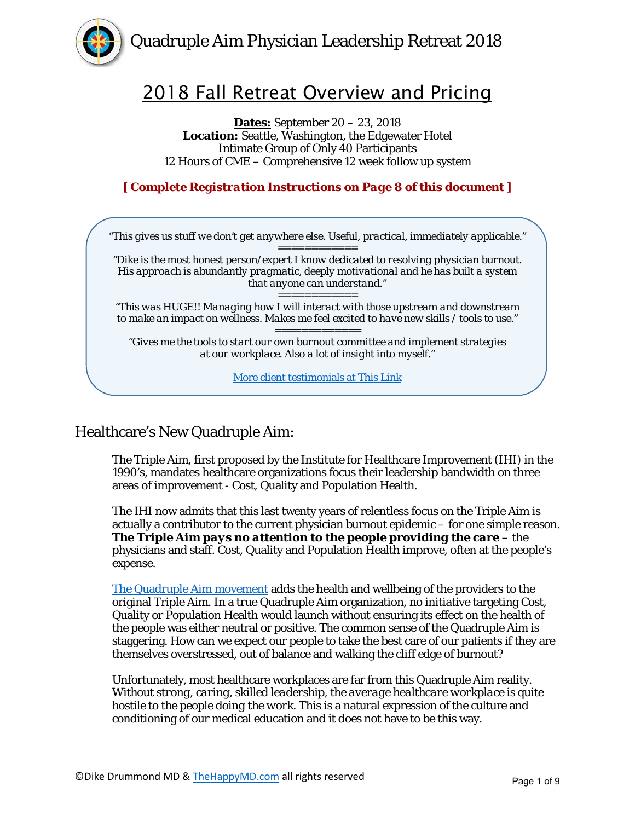

# 2018 Fall Retreat Overview and Pricing

**Dates:** September 20 – 23, 2018 **Location:** Seattle, Washington, the Edgewater Hotel Intimate Group of Only 40 Participants 12 Hours of CME – Comprehensive 12 week follow up system

**[** *Complete Registration Instructions on Page 8 of this document* **]** 



# Healthcare's New Quadruple Aim:

The Triple Aim, first proposed by the Institute for Healthcare Improvement (IHI) in the 1990's, mandates healthcare organizations focus their leadership bandwidth on three areas of improvement - Cost, Quality and Population Health.

The IHI now admits that this last twenty years of relentless focus on the Triple Aim is actually a contributor to the current physician burnout epidemic – for one simple reason. *The Triple Aim pays no attention to the people providing the care* – the physicians and staff. Cost, Quality and Population Health improve, often at the people's expense.

[The Quadruple Aim movement](https://www.thehappymd.com/blog/quadruple-aim-core-blog-post-article-library) adds the health and wellbeing of the providers to the original Triple Aim. In a true Quadruple Aim organization, no initiative targeting Cost, Quality or Population Health would launch without ensuring its effect on the health of the people was either neutral or positive. The common sense of the Quadruple Aim is staggering. How can we expect our people to take the best care of our patients if they are themselves overstressed, out of balance and walking the cliff edge of burnout?

Unfortunately, most healthcare workplaces are far from this Quadruple Aim reality. *Without strong, caring, skilled leadership, the average healthcare workplace is quite hostile to the people doing the work.* This is a natural expression of the culture and conditioning of our medical education and it does not have to be this way.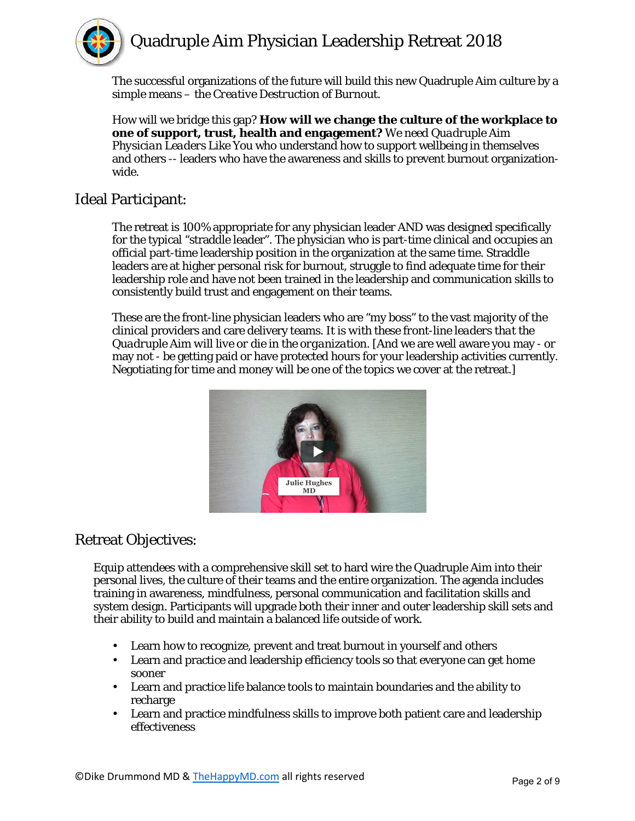

The successful organizations of the future will build this new Quadruple Aim culture by a simple means – the *Creative Destruction of Burnout*.

How will we bridge this gap? **How will we change the culture of the workplace to one of support, trust, health and engagement?** *We need Quadruple Aim Physician Leaders Like You* who understand how to support wellbeing in themselves and others -- leaders who have the awareness and skills to prevent burnout organizationwide.

# Ideal Participant:

The retreat is 100% appropriate for any physician leader AND was designed specifically for the typical "straddle leader". The physician who is part-time clinical and occupies an official part-time leadership position in the organization at the same time. Straddle leaders are at higher personal risk for burnout, struggle to find adequate time for their leadership role and have not been trained in the leadership and communication skills to consistently build trust and engagement on their teams.

These are the front-line physician leaders who are "my boss" to the vast majority of the clinical providers and care delivery teams. *It is with these front-line leaders that the Quadruple Aim will live or die in the organization*. [And we are well aware you may - or may not - be getting paid or have protected hours for your leadership activities currently. Negotiating for time and money will be one of the topics we cover at the retreat.]



# Retreat Objectives:

Equip attendees with a comprehensive skill set to hard wire the Quadruple Aim into their personal lives, the culture of their teams and the entire organization. The agenda includes training in awareness, mindfulness, personal communication and facilitation skills and system design. Participants will upgrade both their inner and outer leadership skill sets and their ability to build and maintain a balanced life outside of work.

- Learn how to recognize, prevent and treat burnout in yourself and others
- Learn and practice and leadership efficiency tools so that everyone can get home sooner
- Learn and practice life balance tools to maintain boundaries and the ability to recharge
- Learn and practice mindfulness skills to improve both patient care and leadership effectiveness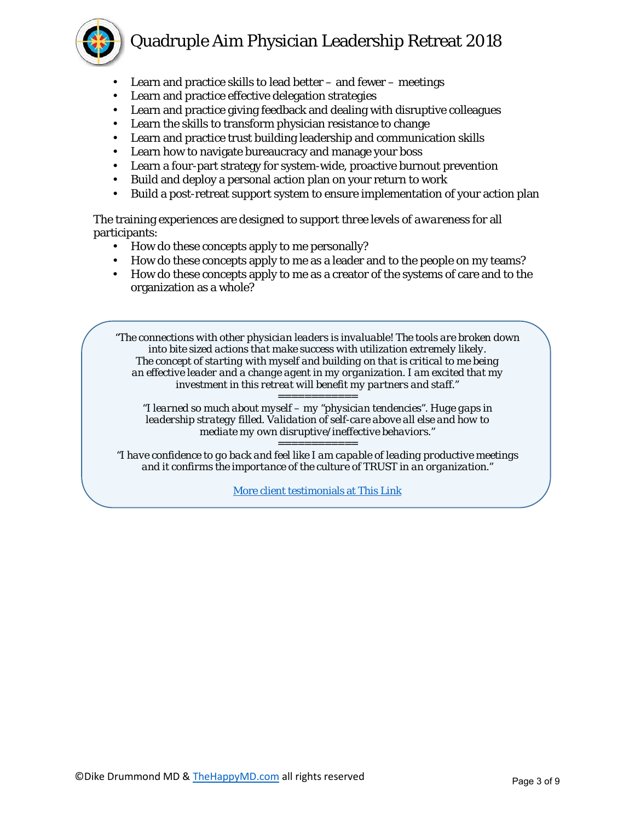- Learn and practice skills to lead better  $-$  and fewer  $-$  meetings
- Learn and practice effective delegation strategies
- Learn and practice giving feedback and dealing with disruptive colleagues
- Learn the skills to transform physician resistance to change
- Learn and practice trust building leadership and communication skills
- Learn how to navigate bureaucracy and manage your boss
- Learn a four-part strategy for system-wide, proactive burnout prevention
- Build and deploy a personal action plan on your return to work
- Build a post-retreat support system to ensure implementation of your action plan

The training experiences are designed to support *three levels of awareness* for all participants:

- How do these concepts apply to me personally?
- How do these concepts apply to me as a leader and to the people on my teams?
- How do these concepts apply to me as a creator of the systems of care and to the organization as a whole?

*"The connections with other physician leaders is invaluable! The tools are broken down into bite sized actions that make success with utilization extremely likely. The concept of starting with myself and building on that is critical to me being an effective leader and a change agent in my organization. I am excited that my investment in this retreat will benefit my partners and staff." ============*

*"I learned so much about myself – my "physician tendencies". Huge gaps in leadership strategy filled. Validation of self-care above all else and how to mediate my own disruptive/ineffective behaviors."*

*============*

*"I have confidence to go back and feel like I am capable of leading productive meetings and it confirms the importance of the culture of TRUST in an organization."*

[More client testimonials at This Link](https://support.thehappymd.com/quadruple-aim-physician-leadership-retreat-testimonials)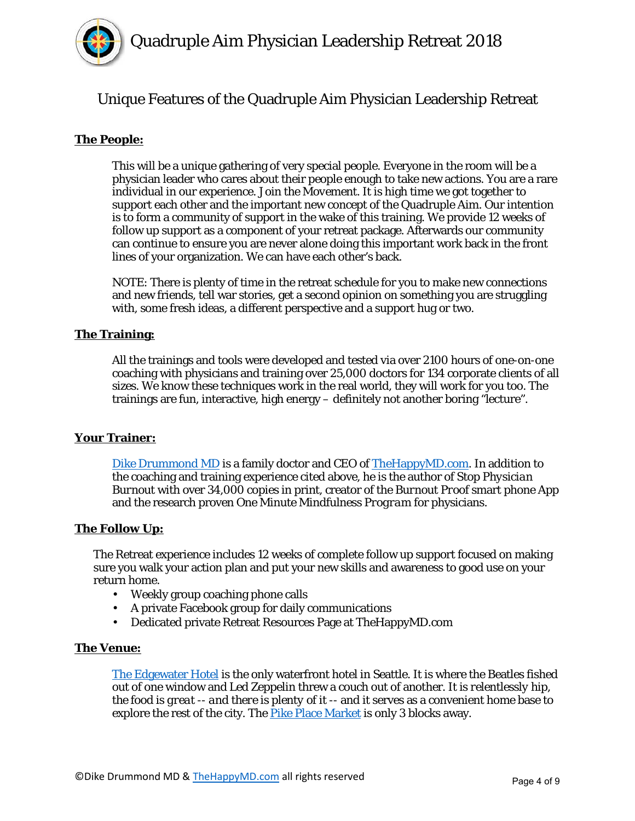

# Unique Features of the Quadruple Aim Physician Leadership Retreat

## **The People:**

This will be a unique gathering of very special people. Everyone in the room will be a physician leader who cares about their people enough to take new actions. You are a rare individual in our experience. *Join the Movement*. It is high time we got together to support each other and the important new concept of the Quadruple Aim. Our intention is to form a community of support in the wake of this training. We provide 12 weeks of follow up support as a component of your retreat package. Afterwards our community can continue to ensure you are never alone doing this important work back in the front lines of your organization. We can have each other's back.

NOTE: There is plenty of time in the retreat schedule for you to make new connections and new friends, tell war stories, get a second opinion on something you are struggling with, some fresh ideas, a different perspective and a support hug or two.

#### **The Training:**

All the trainings and tools were developed and tested via over 2100 hours of one-on-one coaching with physicians and training over 25,000 doctors for 134 corporate clients of all sizes. We know these techniques work in the real world, they will work for you too. The trainings are fun, interactive, high energy – definitely not another boring "lecture".

#### **Your Trainer:**

[Dike Drummond MD](https://www.thehappymd.com/about) is a family doctor and CEO o[f TheHappyMD.com.](https://www.thehappymd.com/about-the-happy-md) In addition to the coaching and training experience cited above, he is the author of *Stop Physician Burnout* with over 34,000 copies in print, creator of the *Burnout Proof* smart phone App and the research proven *One Minute Mindfulness Program* for physicians.

#### **The Follow Up:**

The Retreat experience includes 12 weeks of complete follow up support focused on making sure you walk your action plan and put your new skills and awareness to good use on your return home.

- Weekly group coaching phone calls
- A private Facebook group for daily communications
- Dedicated private Retreat Resources Page at TheHappyMD.com

#### **The Venue:**

[The Edgewater Hotel](http://www.edgewaterhotel.com/) is the only waterfront hotel in Seattle. It is where the Beatles fished out of one window and Led Zeppelin threw a couch out of another. It is *relentlessly hip, the food is great -- and there is plenty of it* -- and it serves as a convenient home base to explore the rest of the city. The [Pike Place Market](http://pikeplacemarket.org/) is only 3 blocks away.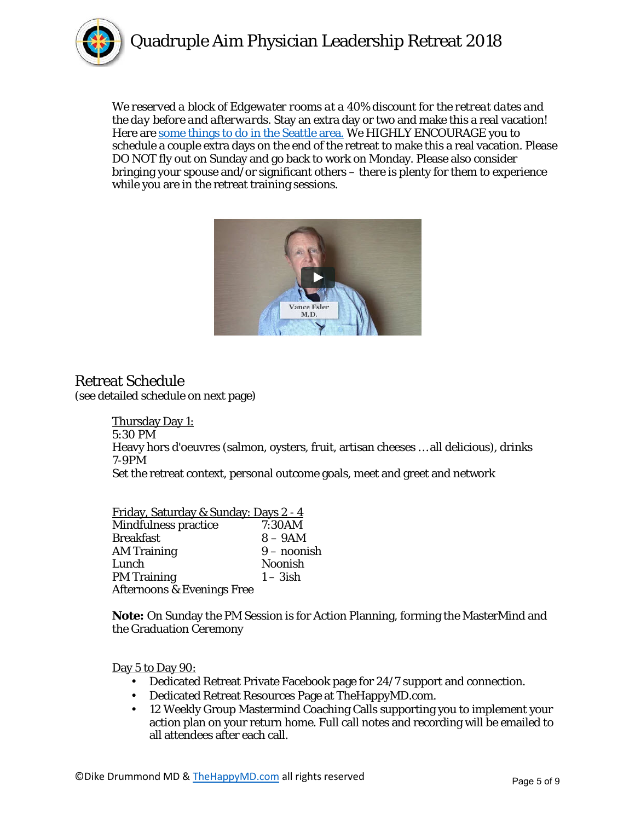

*We reserved a block of Edgewater rooms at a 40% discount for the retreat dates and the day before and afterwards.* Stay an extra day or two and make this a real vacation! Here are [some things to do in the Seattle area.](http://www.thehappymd.com/hubfs/Documents/4A%20Retreat%20Documents/SeattleThingsToDo-V2.1.pdf) We HIGHLY ENCOURAGE you to schedule a couple extra days on the end of the retreat to make this a real vacation. Please DO NOT fly out on Sunday and go back to work on Monday. Please also consider bringing your spouse and/or significant others – there is plenty for them to experience while you are in the retreat training sessions.



# Retreat Schedule

(see detailed schedule on next page)

Thursday Day 1: 5:30 PM Heavy hors d'oeuvres (salmon, oysters, fruit, artisan cheeses … all delicious), drinks 7-9PM Set the retreat context, personal outcome goals, meet and greet and network

| Friday Saturday & Sunday: Dave 2 _ A |  |  |
|--------------------------------------|--|--|

| <u> Filday, Saturday &amp; Suliday. Days 2 - 4</u> |                |
|----------------------------------------------------|----------------|
| Mindfulness practice                               | 7:30AM         |
| <b>Breakfast</b>                                   | $8-9AM$        |
| <b>AM Training</b>                                 | $9$ – noonish  |
| Lunch                                              | <b>Noonish</b> |
| <b>PM Training</b>                                 | $1 - 3$ ish    |
| <b>Afternoons &amp; Evenings Free</b>              |                |
|                                                    |                |

**Note:** On Sunday the PM Session is for Action Planning, forming the MasterMind and the Graduation Ceremony

## Day 5 to Day 90:

- Dedicated Retreat Private Facebook page for 24/7 support and connection.
- Dedicated Retreat Resources Page at TheHappyMD.com.
- 12 Weekly Group Mastermind Coaching Calls supporting you to implement your action plan on your return home. Full call notes and recording will be emailed to all attendees after each call.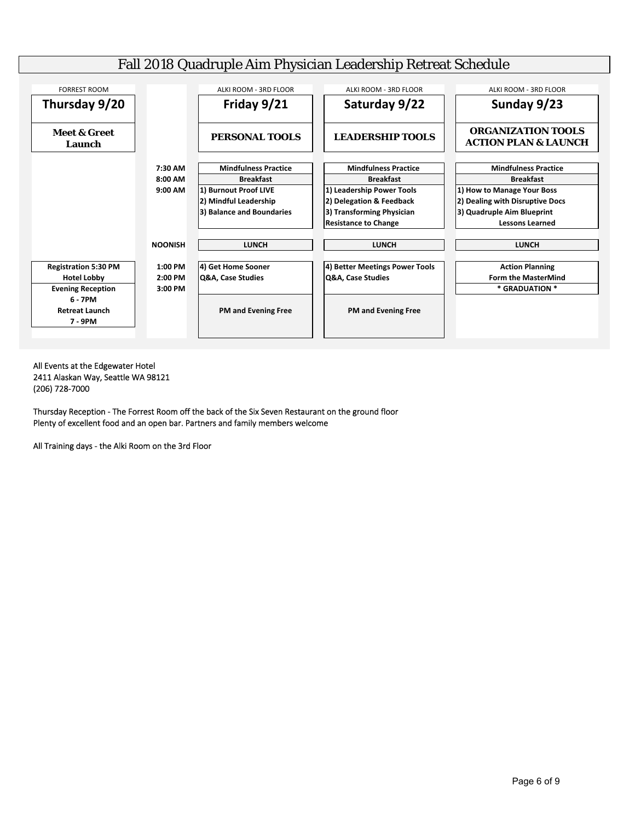

All Events at the Edgewater Hotel 2411 Alaskan Way, Seattle WA 98121 (206) 728‐7000

Thursday Reception ‐ The Forrest Room off the back of the Six Seven Restaurant on the ground floor Plenty of excellent food and an open bar. Partners and family members welcome

All Training days ‐ the Alki Room on the 3rd Floor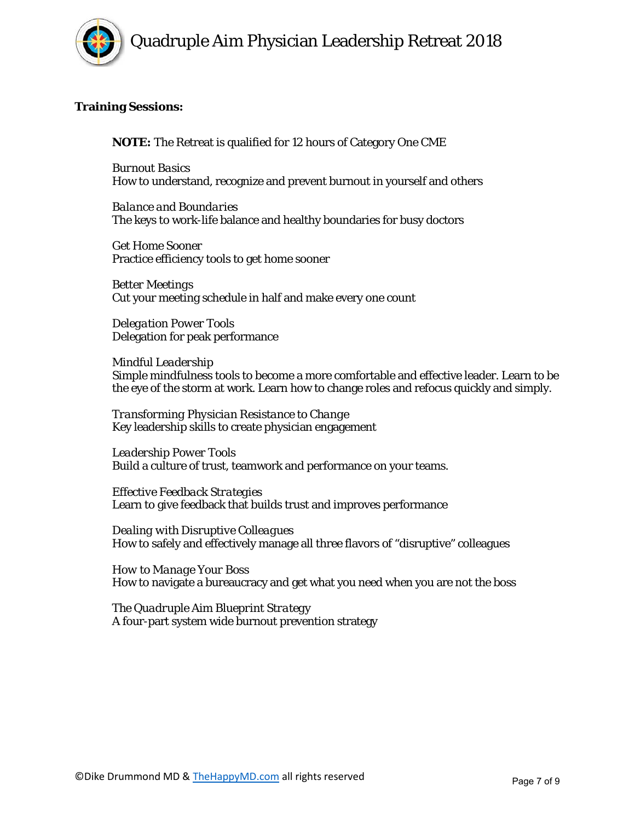#### **Training Sessions:**

**NOTE:** The Retreat is qualified for 12 hours of Category One CME

*Burnout Basics* How to understand, recognize and prevent burnout in yourself and others

*Balance and Boundaries* The keys to work-life balance and healthy boundaries for busy doctors

*Get Home Sooner* Practice efficiency tools to get home sooner

*Better Meetings* Cut your meeting schedule in half and make every one count

*Delegation Power Tools* Delegation for peak performance

#### *Mindful Leadership*

Simple mindfulness tools to become a more comfortable and effective leader. Learn to be the eye of the storm at work. Learn how to change roles and refocus quickly and simply.

*Transforming Physician Resistance to Change* Key leadership skills to create physician engagement

*Leadership Power Tools* Build a culture of trust, teamwork and performance on your teams.

*Effective Feedback Strategies* Learn to give feedback that builds trust and improves performance

*Dealing with Disruptive Colleagues* How to safely and effectively manage all three flavors of "disruptive" colleagues

*How to Manage Your Boss* How to navigate a bureaucracy and get what you need when you are not the boss

*The Quadruple Aim Blueprint Strategy* A four-part system wide burnout prevention strategy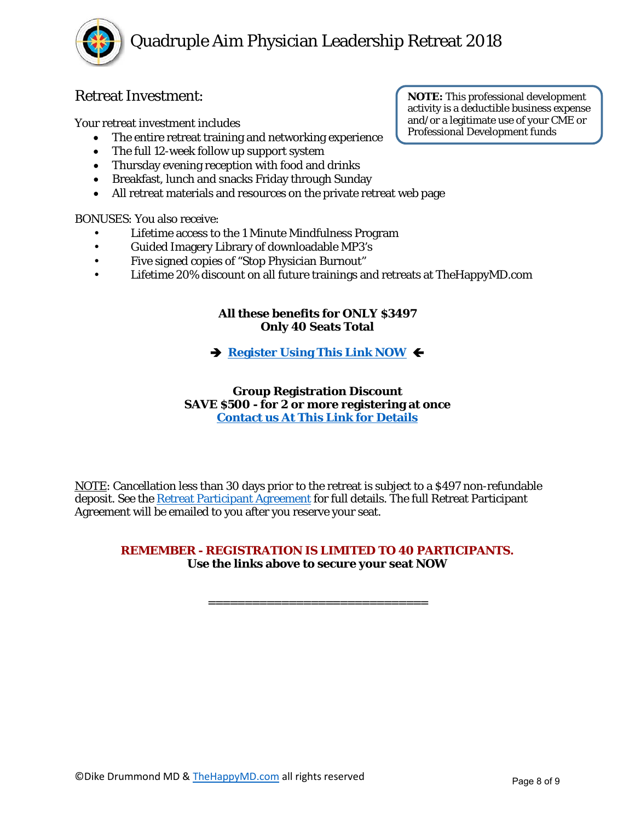

# Retreat Investment:

Your retreat investment includes

- The entire retreat training and networking experience
- The full 12-week follow up support system
- Thursday evening reception with food and drinks
- Breakfast, lunch and snacks Friday through Sunday
- All retreat materials and resources on the private retreat web page

BONUSES: You also receive:

- Lifetime access to the 1 Minute Mindfulness Program
- Guided Imagery Library of downloadable MP3's
- Five signed copies of "Stop Physician Burnout"
- Lifetime 20% discount on all future trainings and retreats at TheHappyMD.com

#### **All these benefits for ONLY \$3497 Only 40 Seats Total**

# **<u>Register Using This Link NOW</u>** ←

#### **Group Registration Discount SAVE \$500 - for 2 or more registering at once [Contact us At This Link for Details](https://www.thehappymd.com/contact)**

NOTE: Cancellation less than 30 days prior to the retreat is subject to a \$497 non-refundable deposit. See the [Retreat Participant Agreement](https://www.thehappymd.com/hubfs/Documents/4A%20Retreat%20Documents/QAPLR2018%20FALL/QuadAimLeaderRetreat-2018-ParticipantAgreement.pdf) for full details. The full Retreat Participant Agreement will be emailed to you after you reserve your seat.

### **REMEMBER - REGISTRATION IS LIMITED TO 40 PARTICIPANTS. Use the links above to secure your seat NOW**

==============================

**NOTE:** This professional development activity is a deductible business expense and/or a legitimate use of your CME or Professional Development funds